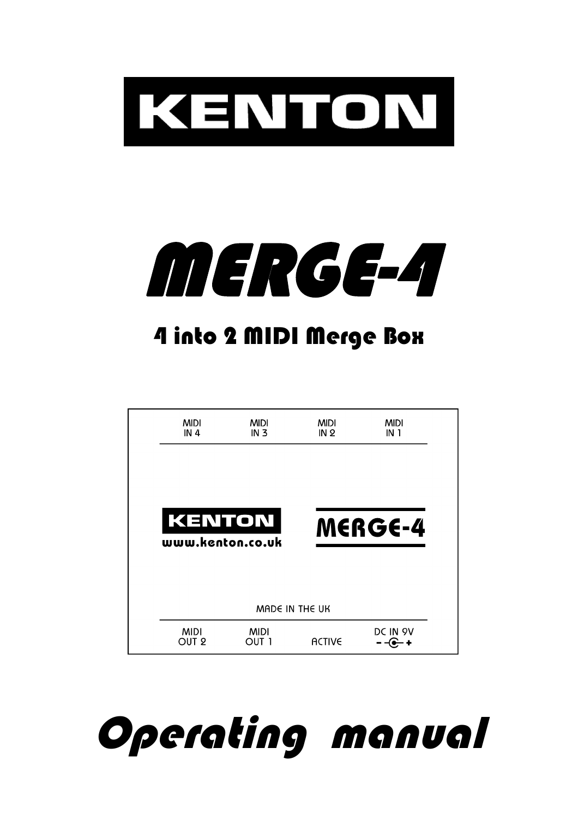



# 4 into 2 MIDI Merge Box

| <b>MIDI</b><br>IN <sub>4</sub> | <b>MIDI</b><br>IN <sub>3</sub> | <b>MIDI</b><br>IN <sub>2</sub> | <b>MIDI</b><br>IN 1 |
|--------------------------------|--------------------------------|--------------------------------|---------------------|
|                                |                                |                                |                     |
| <b>KENTON</b>                  |                                |                                | <b>MERGE-4</b>      |
|                                |                                |                                |                     |
| www.kenton.co.uk               |                                |                                |                     |
|                                |                                | MADE IN THE UK                 |                     |

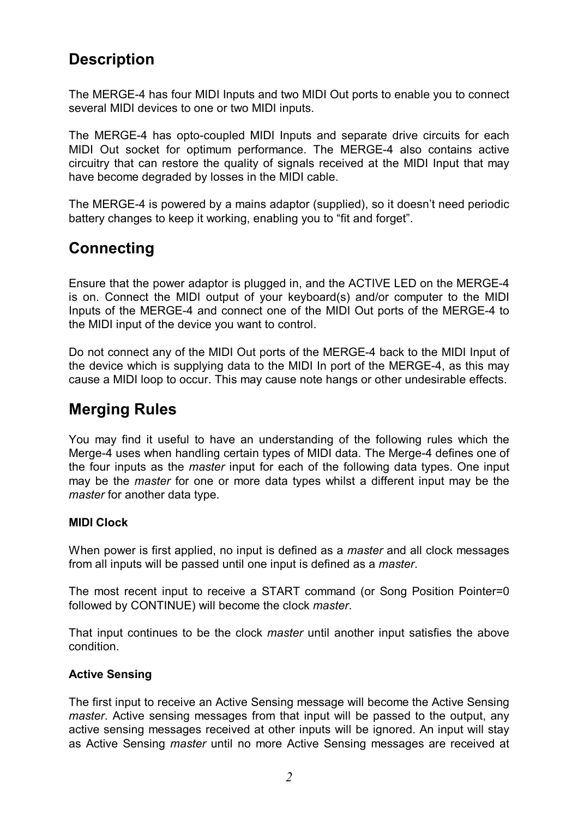## **Description**

The MERGE-4 has four MIDI Inputs and two MIDI Out ports to enable you to connect several MIDI devices to one or two MIDI inputs.

The MERGE-4 has opto-coupled MIDI Inputs and separate drive circuits for each MIDI Out socket for optimum performance. The MERGE-4 also contains active circuitry that can restore the quality of signals received at the MIDI Input that may have become degraded by losses in the MIDI cable.

The MERGE-4 is powered by a mains adaptor (supplied), so it doesn't need periodic battery changes to keep it working, enabling you to "fit and forget".

### **Connecting**

Ensure that the power adaptor is plugged in, and the ACTIVE LED on the MERGE-4 is on. Connect the MIDI output of your keyboard(s) and/or computer to the MIDI Inputs of the MERGE-4 and connect one of the MIDI Out ports of the MERGE-4 to the MIDI input of the device you want to control.

Do not connect any of the MIDI Out ports of the MERGE-4 back to the MIDI Input of the device which is supplying data to the MIDI In port of the MERGE-4, as this may cause a MIDI loop to occur. This may cause note hangs or other undesirable effects.

### **Merging Rules**

You may find it useful to have an understanding of the following rules which the Merge-4 uses when handling certain types of MIDI data. The Merge-4 defines one of the four inputs as the *master* input for each of the following data types. One input may be the *master* for one or more data types whilst a different input may be the *master* for another data type.

#### **MIDI Clock**

When power is first applied, no input is defined as a *master* and all clock messages from all inputs will be passed until one input is defined as a *master*.

The most recent input to receive a START command (or Song Position Pointer=0 followed by CONTINUE) will become the clock *master*.

That input continues to be the clock *master* until another input satisfies the above condition.

#### **Active Sensing**

The first input to receive an Active Sensing message will become the Active Sensing *master*. Active sensing messages from that input will be passed to the output, any active sensing messages received at other inputs will be ignored. An input will stay as Active Sensing *master* until no more Active Sensing messages are received at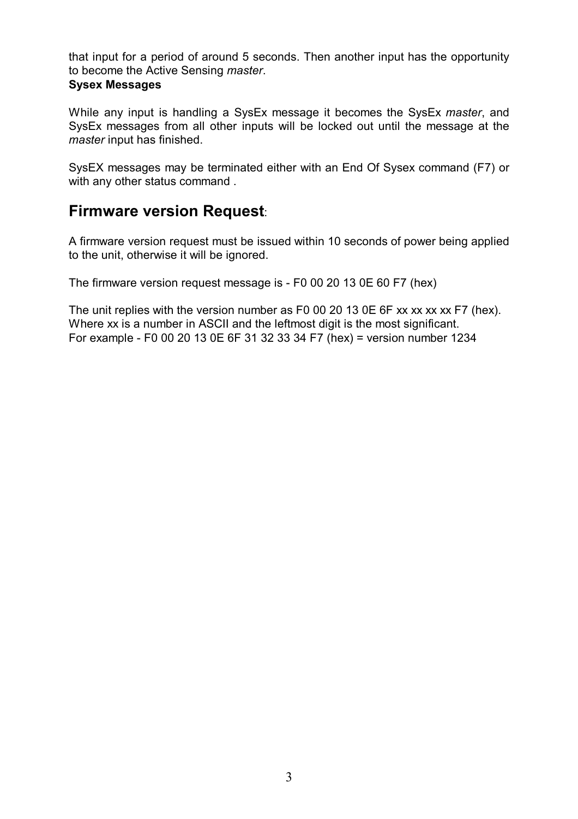that input for a period of around 5 seconds. Then another input has the opportunity to become the Active Sensing *master*.

#### **Sysex Messages**

While any input is handling a SysEx message it becomes the SysEx *master*, and SysEx messages from all other inputs will be locked out until the message at the *master* input has finished.

SysEX messages may be terminated either with an End Of Sysex command (F7) or with any other status command .

### **Firmware version Request**:

A firmware version request must be issued within 10 seconds of power being applied to the unit, otherwise it will be ignored.

The firmware version request message is - F0 00 20 13 0E 60 F7 (hex)

The unit replies with the version number as F0 00 20 13 0E 6F xx xx xx xx F7 (hex). Where xx is a number in ASCII and the leftmost digit is the most significant. For example - F0 00 20 13 0E 6F 31 32 33 34 F7 (hex) = version number 1234